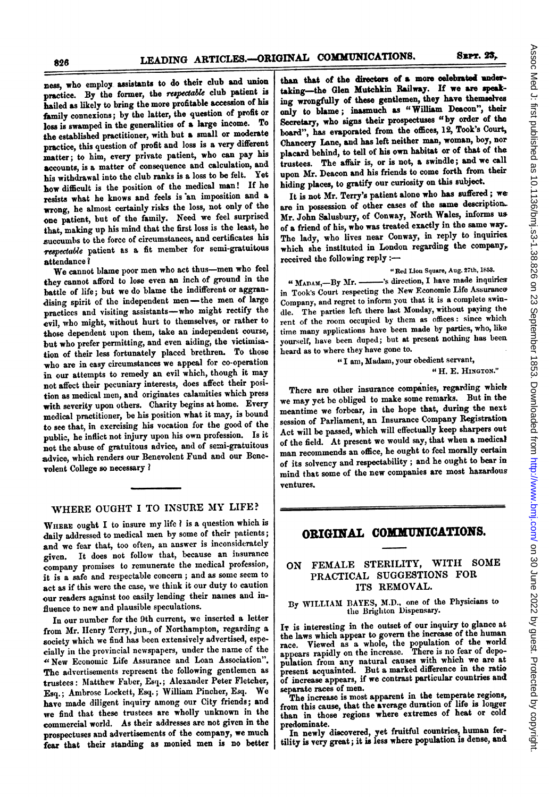ness, who employ assistants to do their club and union practice. By the former, the respectable club patient is hailed as likely to bring the more profitable accession of his family connexions; by the latter, the question of profit or loss is swamped in the generalities of a large income. To the established practitioner, with but a small or moderate practice, this question of profit and loss is a very different matter; to him, every private patient, who can pay his accounts, is a matter of consequence and calculation, and his withdrawal into the club ranks is a loss to be felt. Yet how difficult is the position of the medical man! If he resists what he knows and feels is an imposition and a wrong, he almost certainly risks the loss, not only of the one patient, but of the family. Need we feel surprised that, making up his mind that the first loss is the least, he succumbs to the force of circumstances, and certificates his respectable patient as a fit member for semi-gratuitous attendance <sup>I</sup>

We cannot blame poor men who act thus-men who feel they cannot afford to lose even an inch of ground in the battle of life; but we do blame the indifferent or aggrandising spirit of the independent men-the men of large practices and visiting assistants-who might rectify the evil, who might, without hurt to themselves, or rather to those dependent upon them, take an independent course, but who prefer permitting, and even aiding, the victimisation of their less fortunately placed brethren. To those who are in easy circumstances we appeal for co-operation in our attempts to remedy an evil which, though it may not affect their pecuniary interests, does affect their position as medical men, and originates calamities which press with severity upon others. Charity begins at home. Every medical practitioner, be his position what it may, is bound to see that, in exercising his vocation for the good of the public, he inflict not injury upon his own profession. Is it not the abuse of gratuitous advice, and of semi-gratuitous advice, which renders our Benevolent Fund and our Benevolent College so necessary?

## WHERE OUGHT <sup>I</sup> TO INSURE MY LIFE?

WHERE ought I to insure my life ? is a question which is daily addressed to medical men by some of their patients; and we fear that, too often, an answer is inconsiderately given. It does not follow that, because an iusurance company promises to remunerate the medical profession, it is a safe and respectable concern ; and as some seem to act as if this were the case, we think it our duty to caution our readers against too easily lending their names and influence to new and plausible speculations.

In our number for the 9th current, we inserted a letter from Mr. Ilenry Terry, jun., of Northampton, regarding a society which we find has been extensively advertised, especially in the provincial newspapers, under the name of the "New Economic Life Assurance and Loan Association". The advertisements represent the following gentlemen as trustees: Matthew Faber, Esq.; Alexander Peter Fletcher, Esq.; Ambrose Lockett, Esq.; William Pincher, Esq. We have made diligent inquiry among our City friends; and we find that these trustees are wholly unknown in the commercial world. As their addresses are not given in the prospectuses and advertisements of the company, we much fear that their standing as monied men is no better than that of the directors of a more celebrated undertaking-the Glen Mutchkin Railway. If we are speaking wrongfully of these gentlemen, they have themselves only to blame; inasmuch as "William Deacon", their Secretary, who signs their prospectuses "by order of the board"', has evaporated from the offices, 12, Took's Court, Chancery lane, and has left neither man, woman, boy, nor placard behind, to tell of his own habitat or of that of the trustees. The affair is, or is not, a swindle; and we call upon Mr. Deacon and his friends to come forth from their hiding places, to gratify our curiosity on this subject.

It is not Mr. Terry's patient alone who has suffered; we are in possession of other cases of the same description. Mr. John Salusbury, of Conway, North Wales, informs us of a friend of his, who was treated exactly in the same way. The lady, who lives near Conway, in reply to inquiries which she instituted in London regarding the company, received the following reply :-

" Red Lion Square, Aug. 27th, 1853.  $M_{\rm ADM,M}$ ,  $-$ By Mr.  $-$  's direction, I have made inquiries in Took's Court respecting the New Economic Life Assurance Company, and regret to inform you that it is a complete swindle. The parties left there last Monday, without paying the rent of the room occupied by them as offices: since which time many applications have been made by parties, who, like yourself, have been duped; but at present nothing has been heard as to where they have gone to.

"I am, Madam, your obedient servant, "H. E. HINGTON."

There are other insurance companies, regarding which we may yet be obliged to make some remarks. But in the meantime we forbear, in the hope that, during the next session of Parliament, an Insurance Company Registration Act will be passed, which will effectually keep sharpers out of the field. At present we would say, that when a medical man recommends an office, he ought to feel morally certain of its solvency and respectability; and he ought to bear in mind that some of the new companies are most hazardous ventures.

# ORIGINAL COMMUNICATIONS.

### ON FEMALE STERILITY, WITH SOME PRACTICAL SUGGESTIONS FOR ITS REMOVAL.

#### By WILLIAM BAYES, M.D., one of the Physicians to the Briglhton Dispensary.

IT is interesting in the outset of our inquiry to glance at the laws which appear to govern the increase of the human race. Viewed as a whole, the population of the world appears rapidly on the increase. There is no fear of depopulation from any natural causes with which we are at present acquainted. But a marked difference in the ratio of increase appears, if we contrast particular countries and separate races of men.

The increase is most apparent in the temperate regions, from this cause, that the average duration of life is longer than in those regions where extremes of heat or cold predominate.

In newly discovered, yet fruitful countries, human fertility is very great; it is less where population is dense, and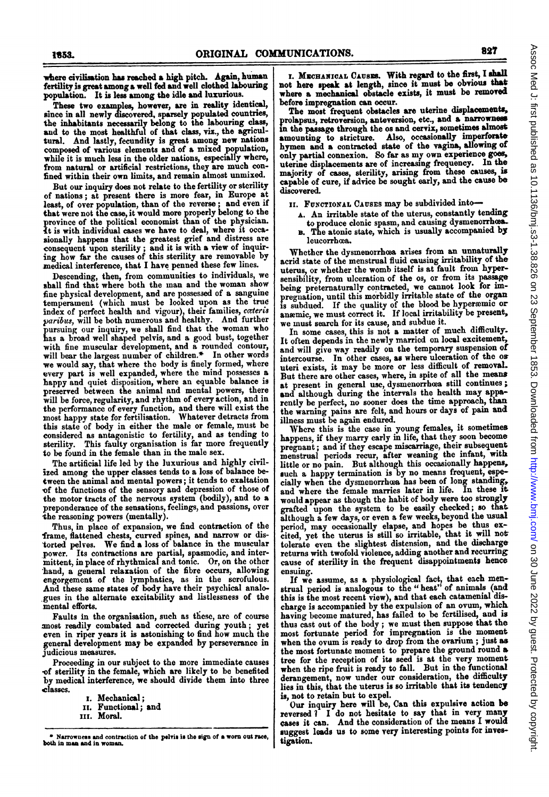'here civiliation has reached a high pitch. Again, human fertility is great among a well fed and well clothed labouring population. It is less among the idle and luxurious.

These two examples, however, are in reality identical, since in all newly discovered, sparsely populated countries, the inhabitants necessarily belong to the labouring class, and to the most healthful of that class, viz., the agricultural. And lastly, fecundity is great among new nations composed of various elements and of a mixed population, while it is much less in the older nations, especially where, from natural or artificial restrictions, they are much confined within their own limits, and remain almost unmixed.

But our inquiry does not relate to the fertility or sterility of nations; at present there is more fear, in Europe at least, of over population, than of the reverse; and even if that were not the case, it would more properly belong to the province of the political economist than of the physician. it is with individual cases we have to deal, where it occasionally happens that the greatest grief and distress are consequent upon sterility; and it is with a view of inquir-ing how far the causes of this sterility are removable by znedical interference, that I have penned these few lines.

Descending, then, from communities to individuals, we shall find that where both the man and the woman show fine physical development, and are possessed of a sanguine temperament (which must be looked upon as the true index of perfect health and vigour), their families, cateris paribus, will be both numerous and healthy. And further pursuing our inquiry, we shall find that the woman who has a broad well shaped pelvis, and a good bust, together with fine muscular development, and a rounded contour, will bear the largest number of children.\* In other words we would say, that where the body is finely formed, where every part is well expanded, where the mind possesses a happy and quiet disposition, where an equable balance is preserved between the animal and mental powers, there will be force, regularity, and rhythm of every action, and in the performance of every function, and there will exist the most happy state for fertilisation. Whatever detracts from this state of body in either the male or female, must be considered as antagonistic to fertility, and as tending to sterility. This faulty organisation is far more frequently to be found in the female than in the male sex.

The artificial life led by the luxurious and highly civilized among the upper classes tends to a loss of balance between the animal and mental powers; it tends to exaltation of the functions of the sensory and depression of those of the motor tracts of the nervous system (bodily), and to a preponderance of the sensations, feelings, and passions, over the reasoning powers (mentally).

Thus, in place of expansion, we find contraction of the frame, flattened chests, curved spines, and narrow or dis- 'torted pelves. We find <sup>a</sup> loss of balance in the muscular power. Its contractions are partial, spasmodic, and intermittent, in place of rhythmical and tonic. Or, on the other 'hand, a general relaxation of the fibre occurs, allowing engorgement of the lymphatics, as in the scrofulous. And these same states of body have their psychical analo- .gues in the alternate excitability and listlessness of the mental efforts.

Faults in the organisation, such as these, are of course most readily combated and corrected during youth; yet even in riper years it is astonishing to find how much the general development may be expanded by perseverance in judicious measures.

Proceeding in our subject to the more immediate causes -of sterility in the female, which are likely to be benefited by medical interference, we should divide them into three classes.

- I. Mechanical;
- ii. Functional; and
- III. Moral.

I. MECHANICAL CAUSES. With regard to the first, I shall not here speak at length, since it must be obvious that where a mechanical obstacle exists, it must be removed before impregnation can occur.

The most frequent obstacles are uterine displacements, prolapsus, retroversion, anteversion, etc., and a narrownes in the passage through the os and cervix, sometimes almost<br>amounting to stricture. Also, occasionally imperforate amounting to stricture. Also, occasionally imperforate hymen and a contracted state of the vagina, allowing of only partial connexion. So far as my own experience goes, uterine displacements are of increasing frequency. In the majority of cases, sterility, arising from these causes, ia capable of cure, if advice be sought early, and the cause be discovered.

- II. FUNCTIONAL CAUSES may be subdivided into-
	- A. An irritable state of the uterus, constantly tending
	- to produce clonic spasm, and causing dysmenorrhoea. B. The atonic state, which is usually accompanied by leucorrhea.

Whether the dysmenorrhosa arises from an unnaturally acrid state of the menstrual fluid causing irritability of the uterus, or whether the womb itself is at fault from hypersensibility, from ulceration of the os, or from its passage being preternaturally contracted, we cannot look for impregnation, until this morbidly irritable state of the organ is subdued. If the quality of the blood be hyperæmic or ansemic, we must correct it. If local irritability be present, we must search for its cause, and subdue it.

In some cases, this is not <sup>a</sup> matter of much difficulty. It often depends in the newly married on local excitement, and will give way readily on the temporary suspension of intercourse. In other cases, as where ulceration of the os uteri exists, it may be more or less difficult of removal. But there are other cases, where, in spite of all the means at present in general use, dysmenorrhea still continues; and although during the intervals the health may apparently be perfect, no sooner does the time approach, than the warning pains are felt, and hours or days of pain and illness must be again endured.

Where this is the case in young females, it sometimes happens, if they marry early in life, that they soon become pregnant; and if they escape miscarriage, their subsequent menstrual periods recur, after weaning the infant, with little or no pain. But although this occasionally happens, such a happy termination is by no means frequent, especially when the dysmenorrhœa has been of long standing, and where the female marries later in life. In these it would appear as though the habit of body were too strongly grafted upon the system to be easily checked; so that although a few days, or even a few weeks, beyond the usual period, may occasionally elapse, and hopes be thus excited, yet the uterus is still so irritable, that it will not tolerate even the slightest distension, and the discharge returns with twofold violence, adding another and recurring cause of sterility in the frequent disappointments hence ensuing.

If we assume, as a physiological fact, that each menstrual period is analogous to the " heat" of animals (and this is the most recent view), and that each catamenial discharge is accompanied by the expulsion of an ovum, which having become matured, has failed to be fertilised, and is thu3 cast out of the body; we must then suppose that the most fortunate period for impregnation is the moment when the ovum is ready to drop from the ovarium; just as the most fortunate moment to prepare the ground round a tree for the reception of its seed is at the very moment when the ripe fruit is ready to fall. But in the functional derangement, now under our consideration, the difficulty lies in this, that the uterus is so irritable that its tendency is, not to retain but to expel.

Our inquiry here will be, Can this expulsive action be reversed ? I do not hesitate to say that in very many cases it can. And the consideration of the means <sup>I</sup> would suggest leads us to some very interesting points for investigation.

<sup>\*</sup> Narrowness and contraction of the pelvis is the sign of a worn out race, both in man and in woman.